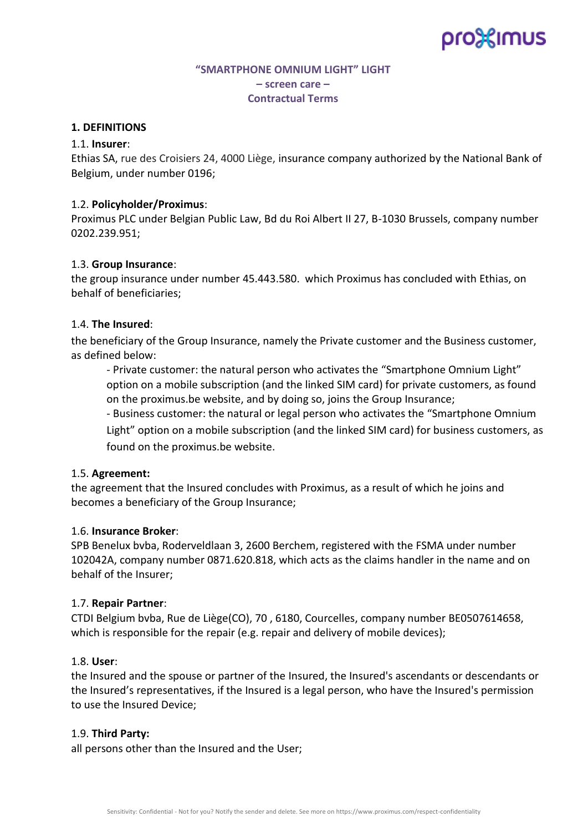# pro%imus

# **"SMARTPHONE OMNIUM LIGHT" LIGHT – screen care – Contractual Terms**

## **1. DEFINITIONS**

### 1.1. **Insurer**:

Ethias SA, rue des Croisiers 24, 4000 Liège, insurance company authorized by the National Bank of Belgium, under number 0196;

## 1.2. **Policyholder/Proximus**:

Proximus PLC under Belgian Public Law, Bd du Roi Albert II 27, B-1030 Brussels, company number 0202.239.951;

### 1.3. **Group Insurance**:

the group insurance under number 45.443.580. which Proximus has concluded with Ethias, on behalf of beneficiaries;

## 1.4. **The Insured**:

the beneficiary of the Group Insurance, namely the Private customer and the Business customer, as defined below:

- Private customer: the natural person who activates the "Smartphone Omnium Light" option on a mobile subscription (and the linked SIM card) for private customers, as found on the proximus.be website, and by doing so, joins the Group Insurance;

- Business customer: the natural or legal person who activates the "Smartphone Omnium

Light" option on a mobile subscription (and the linked SIM card) for business customers, as found on the proximus.be website.

## 1.5. **Agreement:**

the agreement that the Insured concludes with Proximus, as a result of which he joins and becomes a beneficiary of the Group Insurance;

#### 1.6. **Insurance Broker**:

SPB Benelux bvba, Roderveldlaan 3, 2600 Berchem, registered with the FSMA under number 102042A, company number 0871.620.818, which acts as the claims handler in the name and on behalf of the Insurer;

#### 1.7. **Repair Partner**:

CTDI Belgium bvba, Rue de Liège(CO), 70 , 6180, Courcelles, company number BE0507614658, which is responsible for the repair (e.g. repair and delivery of mobile devices);

#### 1.8. **User**:

the Insured and the spouse or partner of the Insured, the Insured's ascendants or descendants or the Insured's representatives, if the Insured is a legal person, who have the Insured's permission to use the Insured Device;

#### 1.9. **Third Party:**

all persons other than the Insured and the User;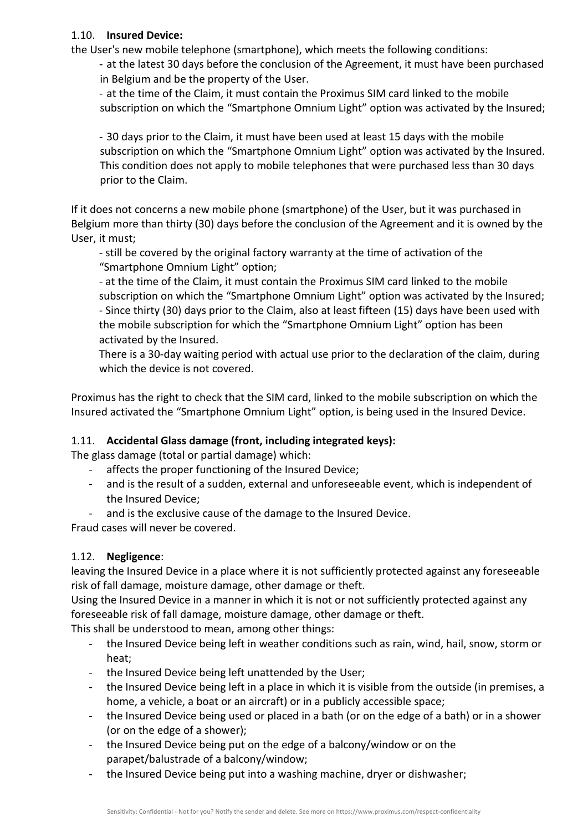# 1.10. **Insured Device:**

the User's new mobile telephone (smartphone), which meets the following conditions:

- at the latest 30 days before the conclusion of the Agreement, it must have been purchased in Belgium and be the property of the User.

- at the time of the Claim, it must contain the Proximus SIM card linked to the mobile subscription on which the "Smartphone Omnium Light" option was activated by the Insured;

- 30 days prior to the Claim, it must have been used at least 15 days with the mobile subscription on which the "Smartphone Omnium Light" option was activated by the Insured. This condition does not apply to mobile telephones that were purchased less than 30 days prior to the Claim.

If it does not concerns a new mobile phone (smartphone) of the User, but it was purchased in Belgium more than thirty (30) days before the conclusion of the Agreement and it is owned by the User, it must;

- still be covered by the original factory warranty at the time of activation of the "Smartphone Omnium Light" option;

- at the time of the Claim, it must contain the Proximus SIM card linked to the mobile subscription on which the "Smartphone Omnium Light" option was activated by the Insured; - Since thirty (30) days prior to the Claim, also at least fifteen (15) days have been used with the mobile subscription for which the "Smartphone Omnium Light" option has been activated by the Insured.

There is a 30-day waiting period with actual use prior to the declaration of the claim, during which the device is not covered.

Proximus has the right to check that the SIM card, linked to the mobile subscription on which the Insured activated the "Smartphone Omnium Light" option, is being used in the Insured Device.

# 1.11. **Accidental Glass damage (front, including integrated keys):**

The glass damage (total or partial damage) which:

- affects the proper functioning of the Insured Device;
- and is the result of a sudden, external and unforeseeable event, which is independent of the Insured Device;
- and is the exclusive cause of the damage to the Insured Device.

Fraud cases will never be covered.

# 1.12. **Negligence**:

leaving the Insured Device in a place where it is not sufficiently protected against any foreseeable risk of fall damage, moisture damage, other damage or theft.

Using the Insured Device in a manner in which it is not or not sufficiently protected against any foreseeable risk of fall damage, moisture damage, other damage or theft.

This shall be understood to mean, among other things:

- the Insured Device being left in weather conditions such as rain, wind, hail, snow, storm or heat;
- the Insured Device being left unattended by the User;
- the Insured Device being left in a place in which it is visible from the outside (in premises, a home, a vehicle, a boat or an aircraft) or in a publicly accessible space;
- the Insured Device being used or placed in a bath (or on the edge of a bath) or in a shower (or on the edge of a shower);
- the Insured Device being put on the edge of a balcony/window or on the parapet/balustrade of a balcony/window;
- the Insured Device being put into a washing machine, dryer or dishwasher;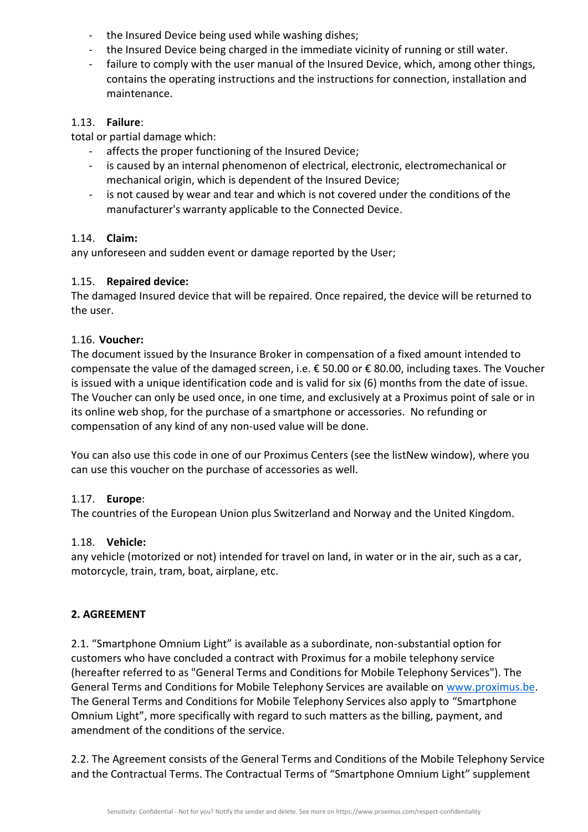- the Insured Device being used while washing dishes;
- the Insured Device being charged in the immediate vicinity of running or still water.
- failure to comply with the user manual of the Insured Device, which, among other things, contains the operating instructions and the instructions for connection, installation and maintenance.

# 1.13. **Failure**:

total or partial damage which:

- affects the proper functioning of the Insured Device;
- is caused by an internal phenomenon of electrical, electronic, electromechanical or mechanical origin, which is dependent of the Insured Device;
- is not caused by wear and tear and which is not covered under the conditions of the manufacturer's warranty applicable to the Connected Device.

# 1.14. **Claim:**

any unforeseen and sudden event or damage reported by the User;

# 1.15. **Repaired device:**

The damaged Insured device that will be repaired. Once repaired, the device will be returned to the user.

# 1.16. **Voucher:**

The document issued by the Insurance Broker in compensation of a fixed amount intended to compensate the value of the damaged screen, i.e. € 50.00 or € 80.00, including taxes. The Voucher is issued with a unique identification code and is valid for six (6) months from the date of issue. The Voucher can only be used once, in one time, and exclusively at a Proximus point of sale or in its online web shop, for the purchase of a smartphone or accessories. No refunding or compensation of any kind of any non-used value will be done.

You can also use this code in one of our Proximus Centers (see the listNew window), where you can use this voucher on the purchase of accessories as well.

## 1.17. **Europe**:

The countries of the European Union plus Switzerland and Norway and the United Kingdom.

## 1.18. **Vehicle:**

any vehicle (motorized or not) intended for travel on land, in water or in the air, such as a car, motorcycle, train, tram, boat, airplane, etc.

# **2. AGREEMENT**

2.1. "Smartphone Omnium Light" is available as a subordinate, non-substantial option for customers who have concluded a contract with Proximus for a mobile telephony service (hereafter referred to as "General Terms and Conditions for Mobile Telephony Services"). The General Terms and Conditions for Mobile Telephony Services are available on [www.proximus.be.](http://www.proximus.be/) The General Terms and Conditions for Mobile Telephony Services also apply to "Smartphone Omnium Light", more specifically with regard to such matters as the billing, payment, and amendment of the conditions of the service.

2.2. The Agreement consists of the General Terms and Conditions of the Mobile Telephony Service and the Contractual Terms. The Contractual Terms of "Smartphone Omnium Light" supplement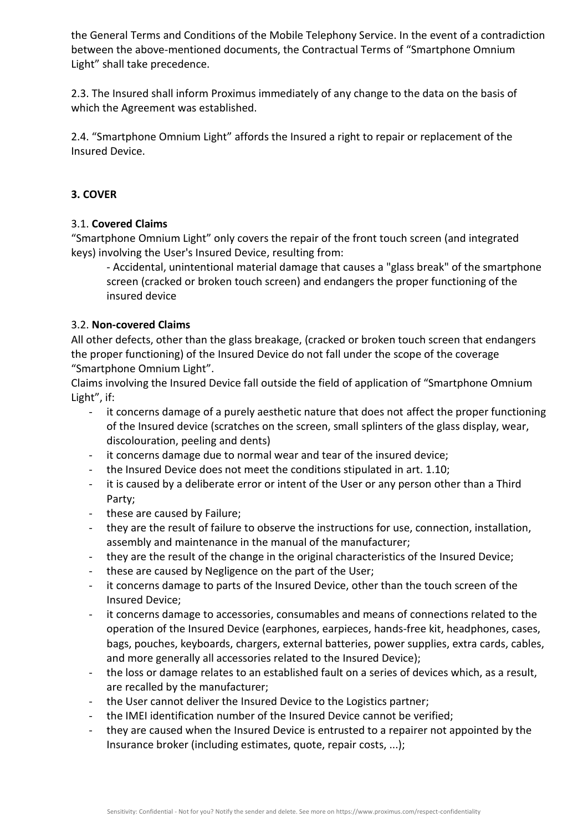the General Terms and Conditions of the Mobile Telephony Service. In the event of a contradiction between the above-mentioned documents, the Contractual Terms of "Smartphone Omnium Light" shall take precedence.

2.3. The Insured shall inform Proximus immediately of any change to the data on the basis of which the Agreement was established.

2.4. "Smartphone Omnium Light" affords the Insured a right to repair or replacement of the Insured Device.

# **3. COVER**

# 3.1. **Covered Claims**

"Smartphone Omnium Light" only covers the repair of the front touch screen (and integrated keys) involving the User's Insured Device, resulting from:

- Accidental, unintentional material damage that causes a "glass break" of the smartphone screen (cracked or broken touch screen) and endangers the proper functioning of the insured device

# 3.2. **Non-covered Claims**

All other defects, other than the glass breakage, (cracked or broken touch screen that endangers the proper functioning) of the Insured Device do not fall under the scope of the coverage "Smartphone Omnium Light".

Claims involving the Insured Device fall outside the field of application of "Smartphone Omnium Light", if:

- it concerns damage of a purely aesthetic nature that does not affect the proper functioning of the Insured device (scratches on the screen, small splinters of the glass display, wear, discolouration, peeling and dents)
- it concerns damage due to normal wear and tear of the insured device;
- the Insured Device does not meet the conditions stipulated in art. 1.10;
- it is caused by a deliberate error or intent of the User or any person other than a Third Party;
- these are caused by Failure;
- they are the result of failure to observe the instructions for use, connection, installation, assembly and maintenance in the manual of the manufacturer;
- they are the result of the change in the original characteristics of the Insured Device;
- these are caused by Negligence on the part of the User;
- it concerns damage to parts of the Insured Device, other than the touch screen of the Insured Device;
- it concerns damage to accessories, consumables and means of connections related to the operation of the Insured Device (earphones, earpieces, hands-free kit, headphones, cases, bags, pouches, keyboards, chargers, external batteries, power supplies, extra cards, cables, and more generally all accessories related to the Insured Device);
- the loss or damage relates to an established fault on a series of devices which, as a result, are recalled by the manufacturer;
- the User cannot deliver the Insured Device to the Logistics partner;
- the IMEI identification number of the Insured Device cannot be verified;
- they are caused when the Insured Device is entrusted to a repairer not appointed by the Insurance broker (including estimates, quote, repair costs, ...);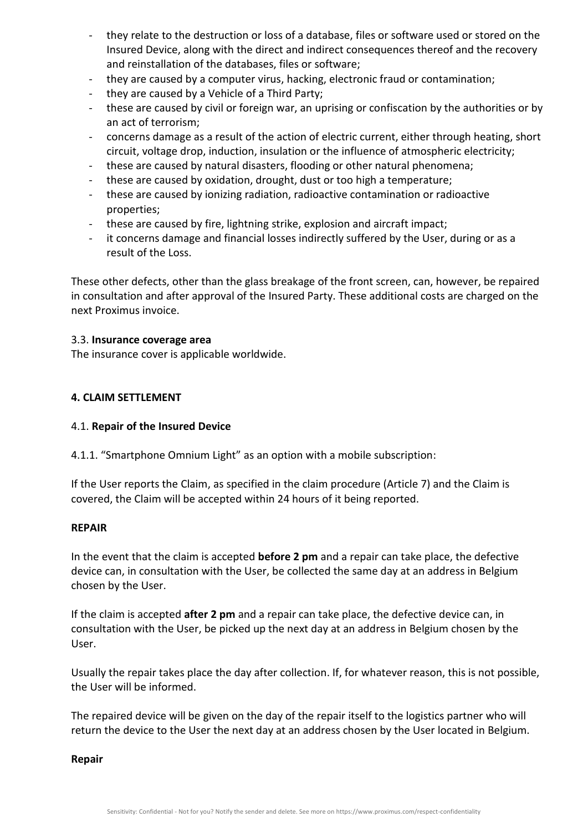- they relate to the destruction or loss of a database, files or software used or stored on the Insured Device, along with the direct and indirect consequences thereof and the recovery and reinstallation of the databases, files or software;
- they are caused by a computer virus, hacking, electronic fraud or contamination;
- they are caused by a Vehicle of a Third Party;
- these are caused by civil or foreign war, an uprising or confiscation by the authorities or by an act of terrorism;
- concerns damage as a result of the action of electric current, either through heating, short circuit, voltage drop, induction, insulation or the influence of atmospheric electricity;
- these are caused by natural disasters, flooding or other natural phenomena;
- these are caused by oxidation, drought, dust or too high a temperature;
- these are caused by ionizing radiation, radioactive contamination or radioactive properties;
- these are caused by fire, lightning strike, explosion and aircraft impact;
- it concerns damage and financial losses indirectly suffered by the User, during or as a result of the Loss.

These other defects, other than the glass breakage of the front screen, can, however, be repaired in consultation and after approval of the Insured Party. These additional costs are charged on the next Proximus invoice.

### 3.3. **Insurance coverage area**

The insurance cover is applicable worldwide.

## **4. CLAIM SETTLEMENT**

## 4.1. **Repair of the Insured Device**

4.1.1. "Smartphone Omnium Light" as an option with a mobile subscription:

If the User reports the Claim, as specified in the claim procedure (Article 7) and the Claim is covered, the Claim will be accepted within 24 hours of it being reported.

#### **REPAIR**

In the event that the claim is accepted **before 2 pm** and a repair can take place, the defective device can, in consultation with the User, be collected the same day at an address in Belgium chosen by the User.

If the claim is accepted **after 2 pm** and a repair can take place, the defective device can, in consultation with the User, be picked up the next day at an address in Belgium chosen by the User.

Usually the repair takes place the day after collection. If, for whatever reason, this is not possible, the User will be informed.

The repaired device will be given on the day of the repair itself to the logistics partner who will return the device to the User the next day at an address chosen by the User located in Belgium.

#### **Repair**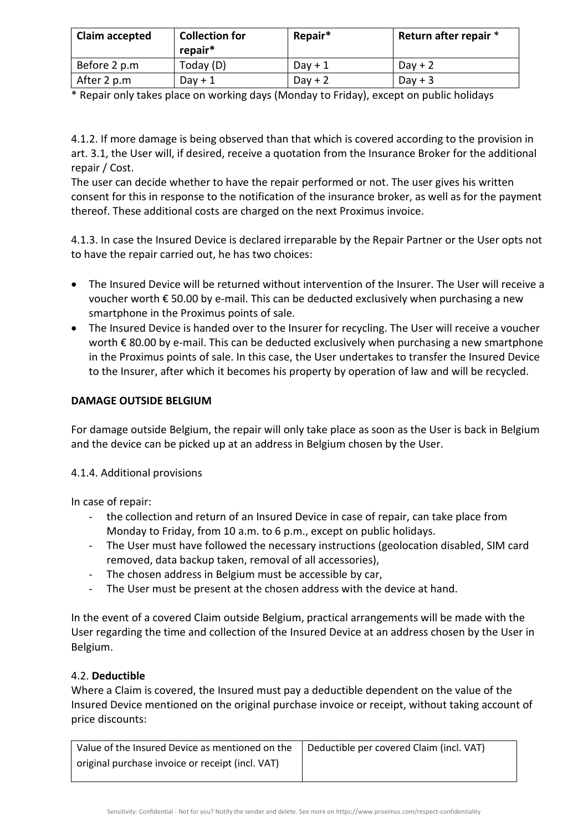| Claim accepted | <b>Collection for</b><br>repair* | Repair*   | Return after repair * |
|----------------|----------------------------------|-----------|-----------------------|
| Before 2 p.m   | Today $(D)$                      | $Day + 1$ | Day $+2$              |
| After 2 p.m    | $Day + 1$                        | $Day + 2$ | $Day + 3$             |

\* Repair only takes place on working days (Monday to Friday), except on public holidays

4.1.2. If more damage is being observed than that which is covered according to the provision in art. 3.1, the User will, if desired, receive a quotation from the Insurance Broker for the additional repair / Cost.

The user can decide whether to have the repair performed or not. The user gives his written consent for this in response to the notification of the insurance broker, as well as for the payment thereof. These additional costs are charged on the next Proximus invoice.

4.1.3. In case the Insured Device is declared irreparable by the Repair Partner or the User opts not to have the repair carried out, he has two choices:

- The Insured Device will be returned without intervention of the Insurer. The User will receive a voucher worth € 50.00 by e-mail. This can be deducted exclusively when purchasing a new smartphone in the Proximus points of sale.
- The Insured Device is handed over to the Insurer for recycling. The User will receive a voucher worth € 80.00 by e-mail. This can be deducted exclusively when purchasing a new smartphone in the Proximus points of sale. In this case, the User undertakes to transfer the Insured Device to the Insurer, after which it becomes his property by operation of law and will be recycled.

# **DAMAGE OUTSIDE BELGIUM**

For damage outside Belgium, the repair will only take place as soon as the User is back in Belgium and the device can be picked up at an address in Belgium chosen by the User.

# 4.1.4. Additional provisions

In case of repair:

- the collection and return of an Insured Device in case of repair, can take place from Monday to Friday, from 10 a.m. to 6 p.m., except on public holidays.
- The User must have followed the necessary instructions (geolocation disabled, SIM card removed, data backup taken, removal of all accessories),
- The chosen address in Belgium must be accessible by car,
- The User must be present at the chosen address with the device at hand.

In the event of a covered Claim outside Belgium, practical arrangements will be made with the User regarding the time and collection of the Insured Device at an address chosen by the User in Belgium.

## 4.2. **Deductible**

Where a Claim is covered, the Insured must pay a deductible dependent on the value of the Insured Device mentioned on the original purchase invoice or receipt, without taking account of price discounts:

| Value of the Insured Device as mentioned on the  | Deductible per covered Claim (incl. VAT) |
|--------------------------------------------------|------------------------------------------|
| original purchase invoice or receipt (incl. VAT) |                                          |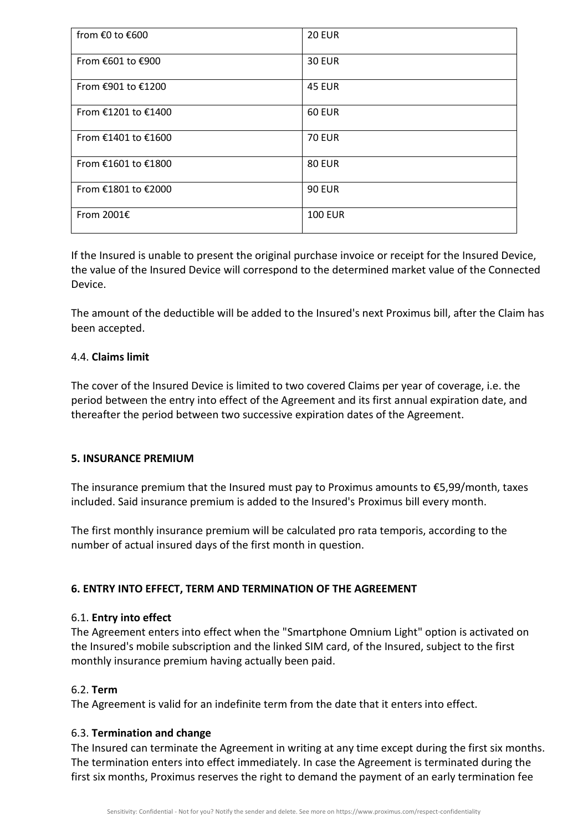| from €0 to €600     | <b>20 EUR</b>  |
|---------------------|----------------|
| From €601 to €900   | <b>30 EUR</b>  |
| From €901 to €1200  | <b>45 EUR</b>  |
| From €1201 to €1400 | <b>60 EUR</b>  |
| From €1401 to €1600 | <b>70 EUR</b>  |
| From €1601 to €1800 | <b>80 EUR</b>  |
| From €1801 to €2000 | <b>90 EUR</b>  |
| From 2001€          | <b>100 EUR</b> |

If the Insured is unable to present the original purchase invoice or receipt for the Insured Device, the value of the Insured Device will correspond to the determined market value of the Connected Device.

The amount of the deductible will be added to the Insured's next Proximus bill, after the Claim has been accepted.

# 4.4. **Claims limit**

The cover of the Insured Device is limited to two covered Claims per year of coverage, i.e. the period between the entry into effect of the Agreement and its first annual expiration date, and thereafter the period between two successive expiration dates of the Agreement.

## **5. INSURANCE PREMIUM**

The insurance premium that the Insured must pay to Proximus amounts to  $\epsilon$ 5,99/month, taxes included. Said insurance premium is added to the Insured's Proximus bill every month.

The first monthly insurance premium will be calculated pro rata temporis, according to the number of actual insured days of the first month in question.

# **6. ENTRY INTO EFFECT, TERM AND TERMINATION OF THE AGREEMENT**

## 6.1. **Entry into effect**

The Agreement enters into effect when the "Smartphone Omnium Light" option is activated on the Insured's mobile subscription and the linked SIM card, of the Insured, subject to the first monthly insurance premium having actually been paid.

# 6.2. **Term**

The Agreement is valid for an indefinite term from the date that it enters into effect.

## 6.3. **Termination and change**

The Insured can terminate the Agreement in writing at any time except during the first six months. The termination enters into effect immediately. In case the Agreement is terminated during the first six months, Proximus reserves the right to demand the payment of an early termination fee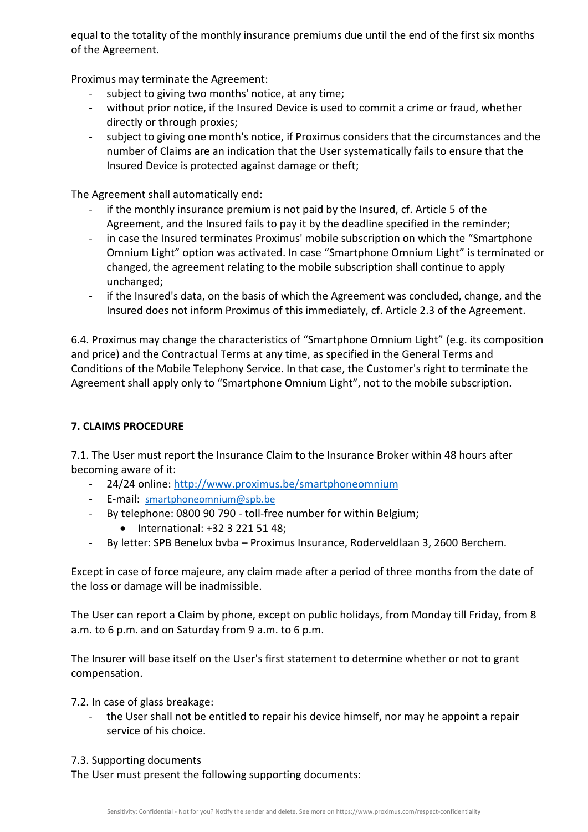equal to the totality of the monthly insurance premiums due until the end of the first six months of the Agreement.

Proximus may terminate the Agreement:

- subject to giving two months' notice, at any time;
- without prior notice, if the Insured Device is used to commit a crime or fraud, whether directly or through proxies;
- subject to giving one month's notice, if Proximus considers that the circumstances and the number of Claims are an indication that the User systematically fails to ensure that the Insured Device is protected against damage or theft;

The Agreement shall automatically end:

- if the monthly insurance premium is not paid by the Insured, cf. Article 5 of the Agreement, and the Insured fails to pay it by the deadline specified in the reminder;
- in case the Insured terminates Proximus' mobile subscription on which the "Smartphone Omnium Light" option was activated. In case "Smartphone Omnium Light" is terminated or changed, the agreement relating to the mobile subscription shall continue to apply unchanged;
- if the Insured's data, on the basis of which the Agreement was concluded, change, and the Insured does not inform Proximus of this immediately, cf. Article 2.3 of the Agreement.

6.4. Proximus may change the characteristics of "Smartphone Omnium Light" (e.g. its composition and price) and the Contractual Terms at any time, as specified in the General Terms and Conditions of the Mobile Telephony Service. In that case, the Customer's right to terminate the Agreement shall apply only to "Smartphone Omnium Light", not to the mobile subscription.

# **7. CLAIMS PROCEDURE**

7.1. The User must report the Insurance Claim to the Insurance Broker within 48 hours after becoming aware of it:

- 24/24 online:<http://www.proximus.be/smartphoneomnium>
- E-mail: [smartphoneomnium@spb.be](mailto:smartphoneomnium@spb.be)
- By telephone: 0800 90 790 toll-free number for within Belgium;
	- International: +32 3 221 51 48;
- By letter: SPB Benelux bvba Proximus Insurance, Roderveldlaan 3, 2600 Berchem.

Except in case of force majeure, any claim made after a period of three months from the date of the loss or damage will be inadmissible.

The User can report a Claim by phone, except on public holidays, from Monday till Friday, from 8 a.m. to 6 p.m. and on Saturday from 9 a.m. to 6 p.m.

The Insurer will base itself on the User's first statement to determine whether or not to grant compensation.

7.2. In case of glass breakage:

- the User shall not be entitled to repair his device himself, nor may he appoint a repair service of his choice.
- 7.3. Supporting documents

The User must present the following supporting documents: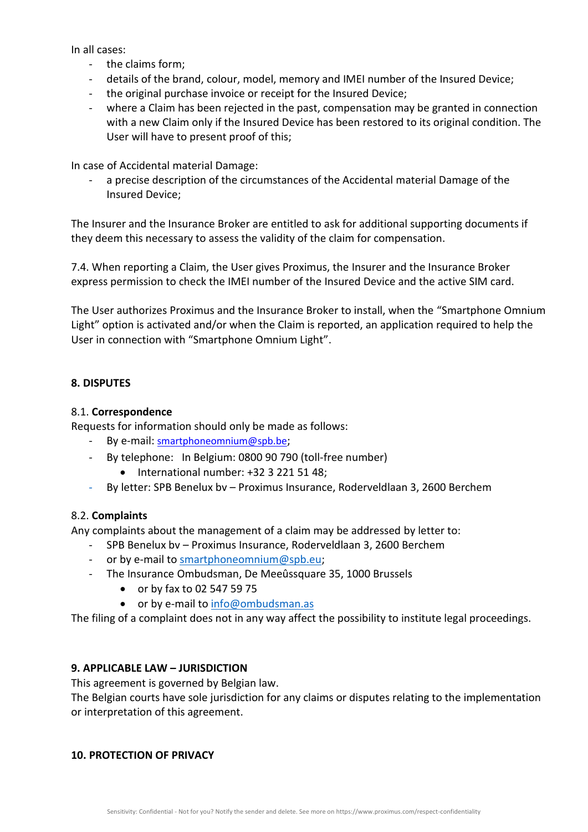In all cases:

- the claims form;
- details of the brand, colour, model, memory and IMEI number of the Insured Device;
- the original purchase invoice or receipt for the Insured Device;
- where a Claim has been rejected in the past, compensation may be granted in connection with a new Claim only if the Insured Device has been restored to its original condition. The User will have to present proof of this;

In case of Accidental material Damage:

- a precise description of the circumstances of the Accidental material Damage of the Insured Device;

The Insurer and the Insurance Broker are entitled to ask for additional supporting documents if they deem this necessary to assess the validity of the claim for compensation.

7.4. When reporting a Claim, the User gives Proximus, the Insurer and the Insurance Broker express permission to check the IMEI number of the Insured Device and the active SIM card.

The User authorizes Proximus and the Insurance Broker to install, when the "Smartphone Omnium Light" option is activated and/or when the Claim is reported, an application required to help the User in connection with "Smartphone Omnium Light".

# **8. DISPUTES**

## 8.1. **Correspondence**

Requests for information should only be made as follows:

- By e-mail: smartphoneomnium@spb.be;
- By telephone: In Belgium: 0800 90 790 (toll-free number)
	- International number: +32 3 221 51 48;
- By letter: SPB Benelux bv Proximus Insurance, Roderveldlaan 3, 2600 Berchem

## 8.2. **Complaints**

Any complaints about the management of a claim may be addressed by letter to:

- SPB Benelux bv Proximus Insurance, Roderveldlaan 3, 2600 Berchem
- or by e-mail to [smartphoneomnium@spb.eu;](mailto:smartphoneomnium@spb.eu)
- The Insurance Ombudsman, De Meeûssquare 35, 1000 Brussels
	- or by fax to 02 547 59 75
	- or by e-mail to [info@ombudsman.as](mailto:info@ombudsman.as)

The filing of a complaint does not in any way affect the possibility to institute legal proceedings.

## **9. APPLICABLE LAW – JURISDICTION**

This agreement is governed by Belgian law.

The Belgian courts have sole jurisdiction for any claims or disputes relating to the implementation or interpretation of this agreement.

## **10. PROTECTION OF PRIVACY**